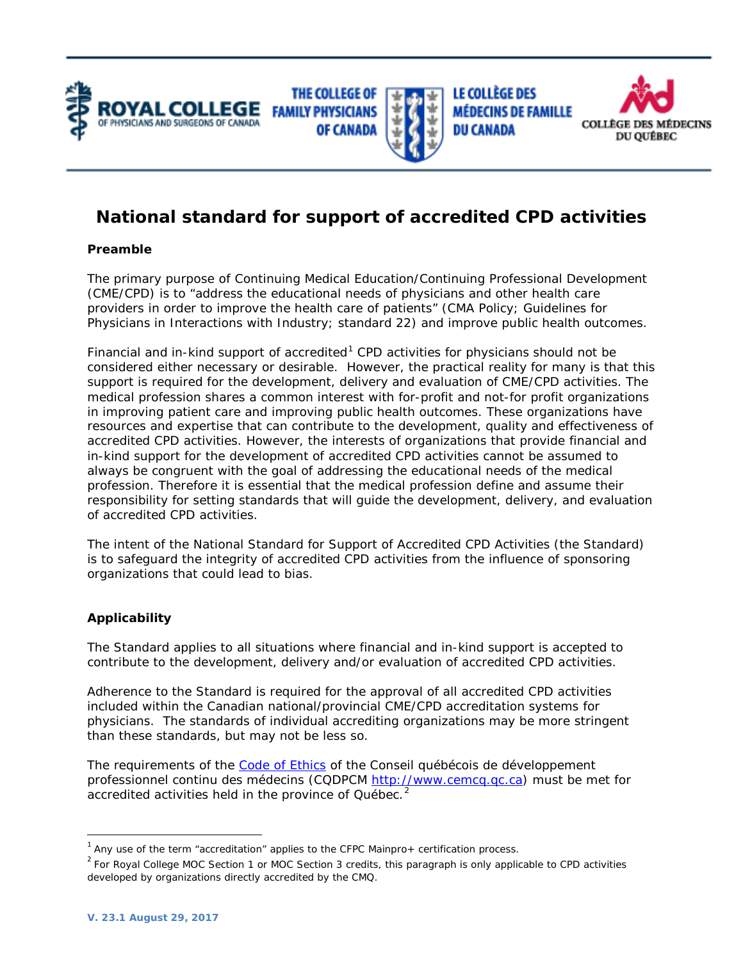





**LE COLLÈGE DES MÉDECINS DE FAMILLE DU CANADA** 



# **National standard for support of accredited CPD activities**

# **Preamble**

The primary purpose of Continuing Medical Education/Continuing Professional Development (CME/CPD) is to "address the educational needs of physicians and other health care providers in order to improve the health care of patients" (CMA Policy; Guidelines for Physicians in Interactions with Industry; standard 22) and improve public health outcomes.

Financial and in-kind support of accredited<sup>[1](#page-0-0)</sup> CPD activities for physicians should not be considered either necessary or desirable. However, the practical reality for many is that this support is required for the development, delivery and evaluation of CME/CPD activities. The medical profession shares a common interest with for-profit and not-for profit organizations in improving patient care and improving public health outcomes. These organizations have resources and expertise that can contribute to the development, quality and effectiveness of accredited CPD activities. However, the interests of organizations that provide financial and in-kind support for the development of accredited CPD activities cannot be assumed to always be congruent with the goal of addressing the educational needs of the medical profession. Therefore it is essential that the medical profession define and assume their responsibility for setting standards that will guide the development, delivery, and evaluation of accredited CPD activities.

The intent of the National Standard for Support of Accredited CPD Activities (the Standard) is to safeguard the integrity of accredited CPD activities from the influence of sponsoring organizations that could lead to bias.

# **Applicability**

The Standard applies to all situations where financial and in-kind support is accepted to contribute to the development, delivery and/or evaluation of accredited CPD activities.

Adherence to the Standard is required for the approval of all accredited CPD activities included within the Canadian national/provincial CME/CPD accreditation systems for physicians. The standards of individual accrediting organizations may be more stringent than these standards, but may not be less so.

The requirements of the [Code of Ethics](http://www.cemcq.qc.ca/en/documents/CODE_CQDPCM_EN_F20150521.pdf) of the Conseil québécois de développement professionnel continu des médecins (CQDPCM [http://www.cemcq.qc.ca\)](http://www.cemcq.qc.ca/) must be met for accredited activities held in the province of Québec.<sup>[2](#page-0-1)</sup>

<span id="page-0-0"></span> $1$  Any use of the term "accreditation" applies to the CFPC Mainpro+ certification process.

<span id="page-0-1"></span> $2$  For Royal College MOC Section 1 or MOC Section 3 credits, this paragraph is only applicable to CPD activities developed by organizations directly accredited by the CMQ.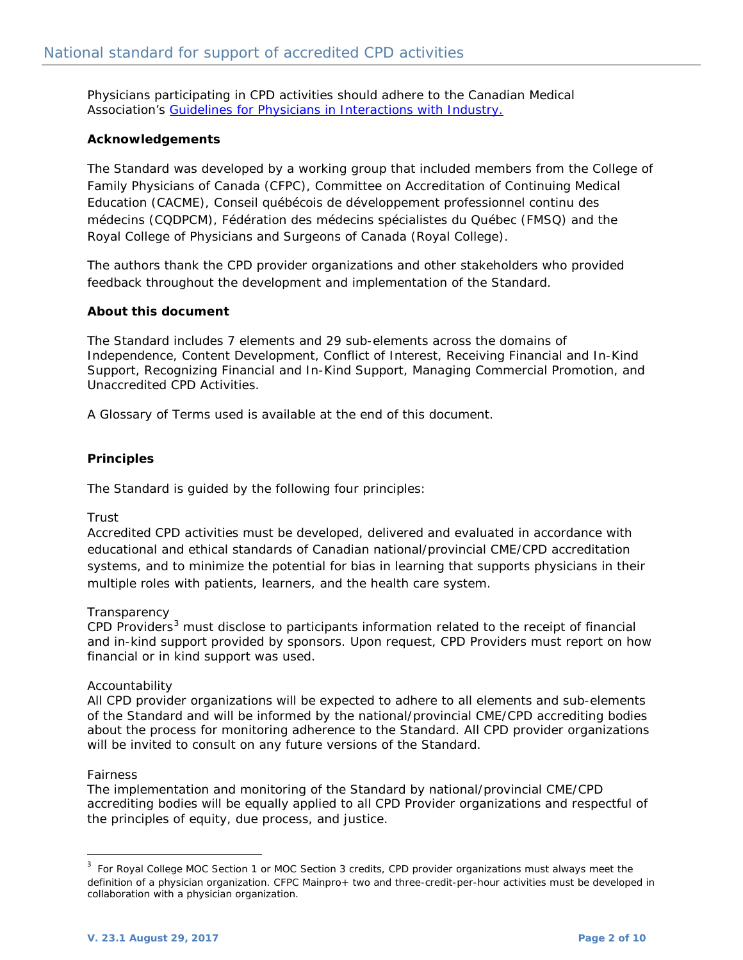Physicians participating in CPD activities should adhere to the Canadian Medical Association's *[Guidelines for Physicians in Interactions with Industry](http://policybase.cma.ca/dbtw-wpd/Policypdf/PD08-01.pdf)*.

# **Acknowledgements**

The Standard was developed by a working group that included members from the College of Family Physicians of Canada (CFPC), Committee on Accreditation of Continuing Medical Education (CACME), Conseil québécois de développement professionnel continu des médecins (CQDPCM), Fédération des médecins spécialistes du Québec (FMSQ) and the Royal College of Physicians and Surgeons of Canada (Royal College).

The authors thank the CPD provider organizations and other stakeholders who provided feedback throughout the development and implementation of the Standard.

# **About this document**

The Standard includes 7 elements and 29 sub-elements across the domains of Independence, Content Development, Conflict of Interest, Receiving Financial and In-Kind Support, Recognizing Financial and In-Kind Support, Managing Commercial Promotion, and Unaccredited CPD Activities.

A Glossary of Terms used is available at the end of this document.

#### **Principles**

The Standard is guided by the following four principles:

#### *Trust*

Accredited CPD activities must be developed, delivered and evaluated in accordance with educational and ethical standards of Canadian national/provincial CME/CPD accreditation systems, and to minimize the potential for bias in learning that supports physicians in their multiple roles with patients, learners, and the health care system.

#### *Transparency*

CPD Providers<sup>[3](#page-1-0)</sup> must disclose to participants information related to the receipt of financial and in-kind support provided by sponsors. Upon request, CPD Providers must report on how financial or in kind support was used.

#### *Accountability*

All CPD provider organizations will be expected to adhere to all elements and sub-elements of the Standard and will be informed by the national/provincial CME/CPD accrediting bodies about the process for monitoring adherence to the Standard. All CPD provider organizations will be invited to consult on any future versions of the Standard.

#### *Fairness*

The implementation and monitoring of the Standard by national/provincial CME/CPD accrediting bodies will be equally applied to all CPD Provider organizations and respectful of the principles of equity, due process, and justice.

<span id="page-1-0"></span><sup>&</sup>lt;sup>3</sup> For Royal College MOC Section 1 or MOC Section 3 credits, CPD provider organizations must always meet the definition of a physician organization. CFPC Mainpro+ two and three-credit-per-hour activities must be developed in collaboration with a physician organization.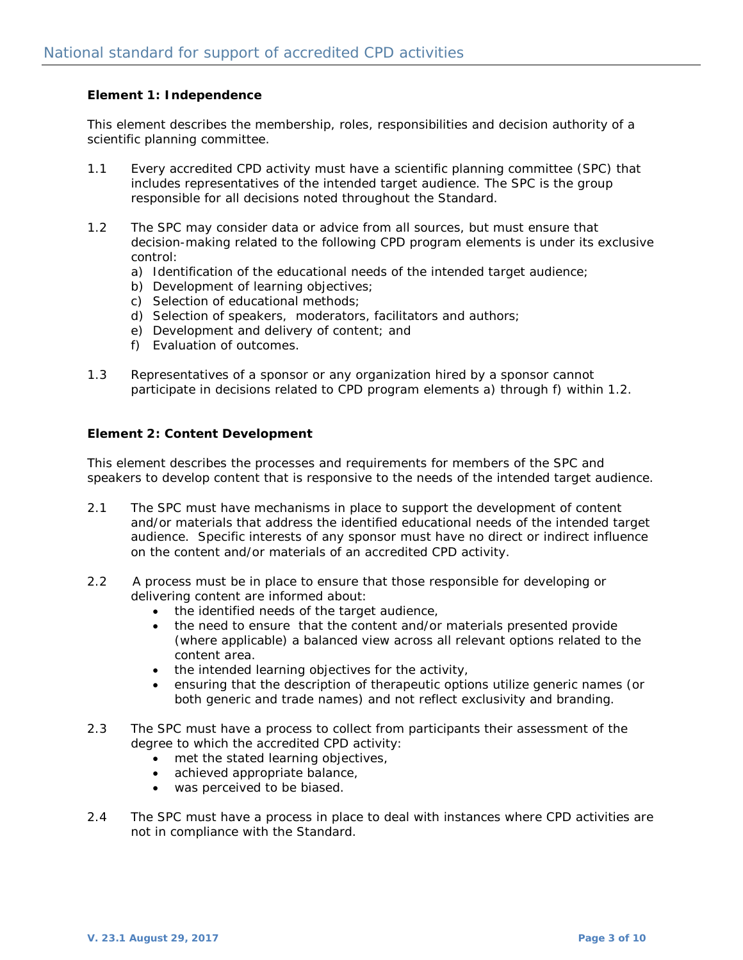# **Element 1: Independence**

This element describes the membership, roles, responsibilities and decision authority of a scientific planning committee.

- 1.1 Every accredited CPD activity must have a scientific planning committee (SPC) that includes representatives of the intended target audience. The SPC is the group responsible for all decisions noted throughout the Standard.
- 1.2 The SPC may consider data or advice from all sources, but must ensure that decision-making related to the following CPD program elements is under its exclusive control:
	- a) Identification of the educational needs of the intended target audience;
	- b) Development of learning objectives;
	- c) Selection of educational methods;
	- d) Selection of speakers, moderators, facilitators and authors;
	- e) Development and delivery of content; and
	- f) Evaluation of outcomes.
- 1.3 Representatives of a sponsor or any organization hired by a sponsor cannot participate in decisions related to CPD program elements a) through f) within 1.2.

#### **Element 2: Content Development**

This element describes the processes and requirements for members of the SPC and speakers to develop content that is responsive to the needs of the intended target audience.

- 2.1 The SPC must have mechanisms in place to support the development of content and/or materials that address the identified educational needs of the intended target audience. Specific interests of any sponsor must have no direct or indirect influence on the content and/or materials of an accredited CPD activity.
- 2.2 A process must be in place to ensure that those responsible for developing or delivering content are informed about:
	- the identified needs of the target audience,
	- the need to ensure that the content and/or materials presented provide (where applicable) a balanced view across all relevant options related to the content area.
	- the intended learning objectives for the activity,
	- ensuring that the description of therapeutic options utilize generic names (or both generic and trade names) and not reflect exclusivity and branding.
- 2.3 The SPC must have a process to collect from participants their assessment of the degree to which the accredited CPD activity:
	- met the stated learning objectives,
	- achieved appropriate balance,
	- was perceived to be biased.
- 2.4 The SPC must have a process in place to deal with instances where CPD activities are not in compliance with the Standard.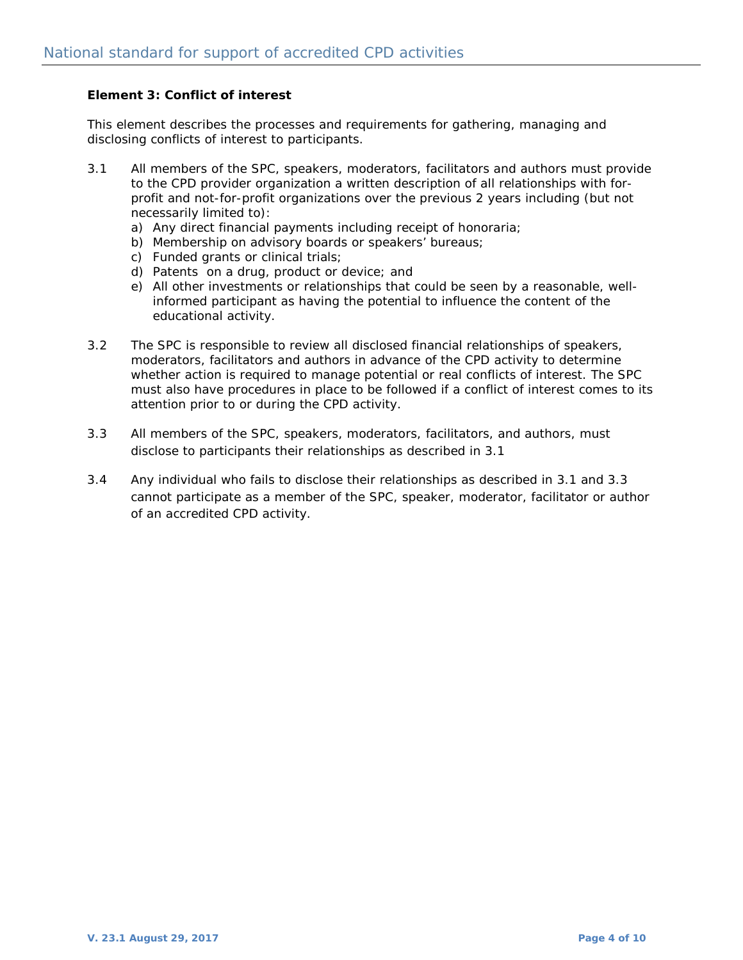### **Element 3: Conflict of interest**

This element describes the processes and requirements for gathering, managing and disclosing conflicts of interest to participants.

- 3.1 All members of the SPC, speakers, moderators, facilitators and authors must provide to the CPD provider organization a written description of all relationships with forprofit and not-for-profit organizations over the previous 2 years including (but not necessarily limited to):
	- a) Any direct financial payments including receipt of honoraria;
	- b) Membership on advisory boards or speakers' bureaus;
	- c) Funded grants or clinical trials;
	- d) Patents on a drug, product or device; and
	- e) All other investments or relationships that could be seen by a reasonable, wellinformed participant as having the potential to influence the content of the educational activity.
- 3.2 The SPC is responsible to review all disclosed financial relationships of speakers, moderators, facilitators and authors in advance of the CPD activity to determine whether action is required to manage potential or real conflicts of interest. The SPC must also have procedures in place to be followed if a conflict of interest comes to its attention prior to or during the CPD activity.
- 3.3 All members of the SPC, speakers, moderators, facilitators, and authors, must disclose to participants their relationships as described in 3.1
- 3.4 Any individual who fails to disclose their relationships as described in 3.1 and 3.3 cannot participate as a member of the SPC, speaker, moderator, facilitator or author of an accredited CPD activity.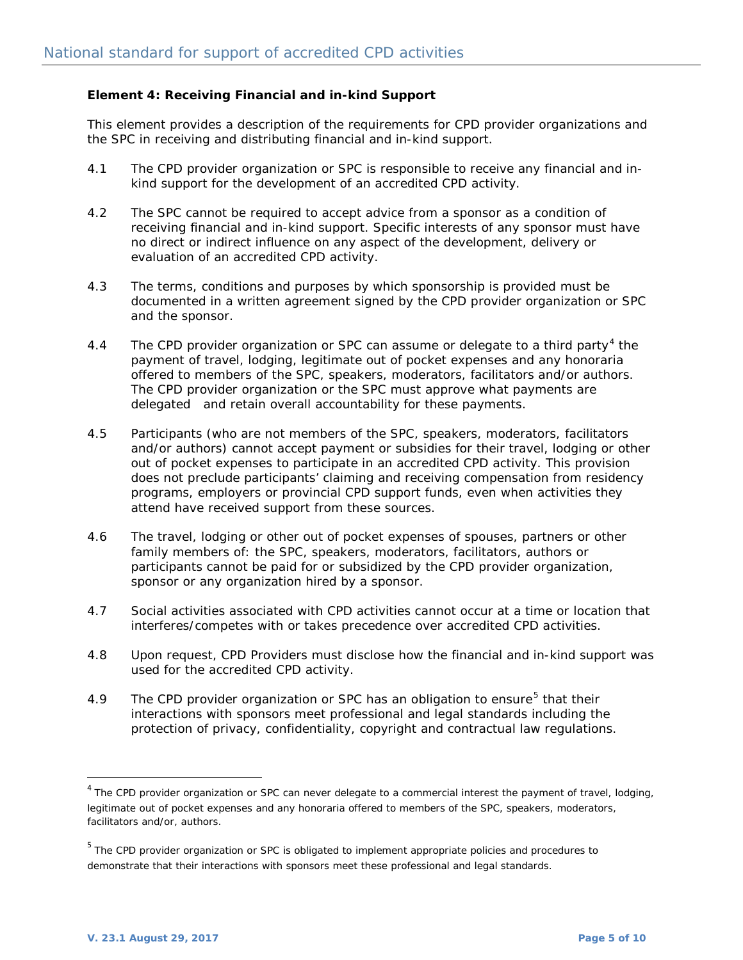## **Element 4: Receiving Financial and in-kind Support**

This element provides a description of the requirements for CPD provider organizations and the SPC in receiving and distributing financial and in-kind support.

- 4.1 The CPD provider organization or SPC is responsible to receive any financial and inkind support for the development of an accredited CPD activity.
- 4.2 The SPC cannot be required to accept advice from a sponsor as a condition of receiving financial and in-kind support. Specific interests of any sponsor must have no direct or indirect influence on any aspect of the development, delivery or evaluation of an accredited CPD activity.
- 4.3 The terms, conditions and purposes by which sponsorship is provided must be documented in a written agreement signed by the CPD provider organization or SPC and the sponsor.
- [4](#page-4-0).4 The CPD provider organization or SPC can assume or delegate to a third party<sup>4</sup> the payment of travel, lodging, legitimate out of pocket expenses and any honoraria offered to members of the SPC, speakers, moderators, facilitators and/or authors. The CPD provider organization or the SPC must approve what payments are delegated and retain overall accountability for these payments.
- 4.5 Participants (who are not members of the SPC, speakers, moderators, facilitators and/or authors) cannot accept payment or subsidies for their travel, lodging or other out of pocket expenses to participate in an accredited CPD activity. This provision does not preclude participants' claiming and receiving compensation from residency programs, employers or provincial CPD support funds, even when activities they attend have received support from these sources.
- 4.6 The travel, lodging or other out of pocket expenses of spouses, partners or other family members of: the SPC, speakers, moderators, facilitators, authors or participants cannot be paid for or subsidized by the CPD provider organization, sponsor or any organization hired by a sponsor.
- 4.7 Social activities associated with CPD activities cannot occur at a time or location that interferes/competes with or takes precedence over accredited CPD activities.
- 4.8 Upon request, CPD Providers must disclose how the financial and in-kind support was used for the accredited CPD activity.
- 4.9 The CPD provider organization or SPC has an obligation to ensure<sup>[5](#page-4-1)</sup> that their interactions with sponsors meet professional and legal standards including the protection of privacy, confidentiality, copyright and contractual law regulations.

<span id="page-4-0"></span> $4$  The CPD provider organization or SPC can never delegate to a commercial interest the payment of travel, lodging, legitimate out of pocket expenses and any honoraria offered to members of the SPC, speakers, moderators, facilitators and/or, authors.

<span id="page-4-1"></span><sup>5</sup> The CPD provider organization or SPC is obligated to implement appropriate policies and procedures to demonstrate that their interactions with sponsors meet these professional and legal standards.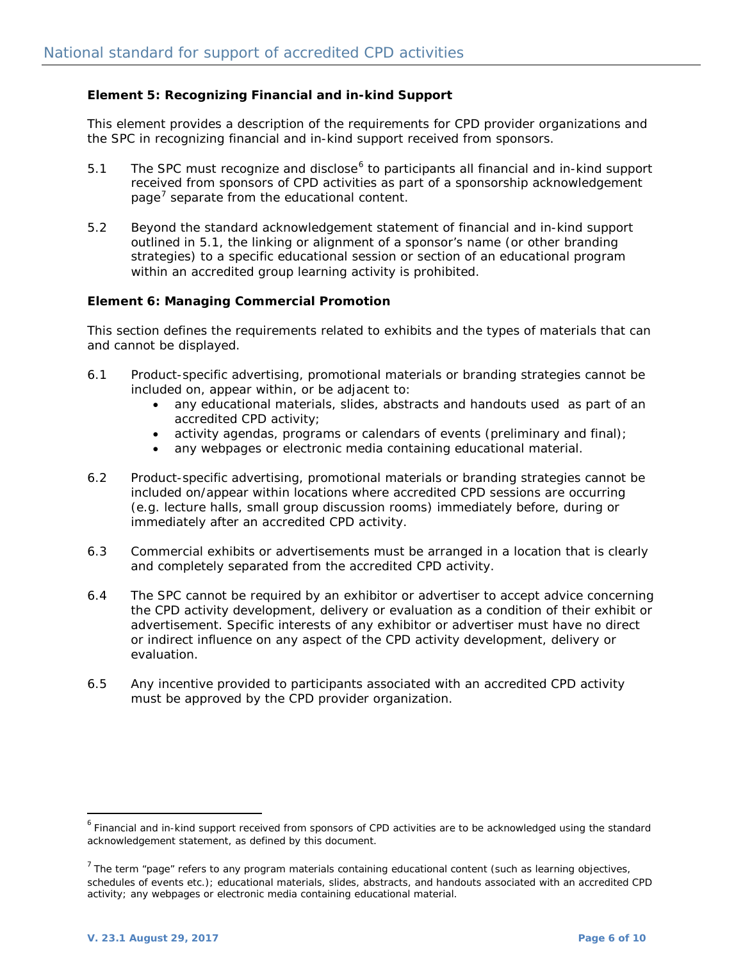# **Element 5: Recognizing Financial and in-kind Support**

This element provides a description of the requirements for CPD provider organizations and the SPC in recognizing financial and in-kind support received from sponsors.

- 5.1 The SPC must recognize and disclose<sup>[6](#page-5-0)</sup> to participants all financial and in-kind support received from sponsors of CPD activities as part of a sponsorship acknowledgement page<sup>[7](#page-5-1)</sup> separate from the educational content.
- 5.2 Beyond the standard acknowledgement statement of financial and in-kind support outlined in 5.1, the linking or alignment of a sponsor's name (or other branding strategies) to a specific educational session or section of an educational program within an accredited group learning activity is prohibited.

#### **Element 6: Managing Commercial Promotion**

This section defines the requirements related to exhibits and the types of materials that can and cannot be displayed.

- 6.1 Product-specific advertising, promotional materials or branding strategies cannot be included on, appear within, or be adjacent to:
	- any educational materials, slides, abstracts and handouts used as part of an accredited CPD activity;
	- activity agendas, programs or calendars of events (preliminary and final);
	- any webpages or electronic media containing educational material.
- 6.2 Product-specific advertising, promotional materials or branding strategies cannot be included on/appear within locations where accredited CPD sessions are occurring (e.g. lecture halls, small group discussion rooms) immediately before, during or immediately after an accredited CPD activity.
- 6.3 Commercial exhibits or advertisements must be arranged in a location that is clearly and completely separated from the accredited CPD activity.
- 6.4 The SPC cannot be required by an exhibitor or advertiser to accept advice concerning the CPD activity development, delivery or evaluation as a condition of their exhibit or advertisement. Specific interests of any exhibitor or advertiser must have no direct or indirect influence on any aspect of the CPD activity development, delivery or evaluation.
- 6.5 Any incentive provided to participants associated with an accredited CPD activity must be approved by the CPD provider organization.

<span id="page-5-0"></span> $6$  Financial and in-kind support received from sponsors of CPD activities are to be acknowledged using the standard acknowledgement statement, as defined by this document.

<span id="page-5-1"></span> $<sup>7</sup>$  The term "page" refers to any program materials containing educational content (such as learning objectives,</sup> schedules of events etc.); educational materials, slides, abstracts, and handouts associated with an accredited CPD activity; any webpages or electronic media containing educational material.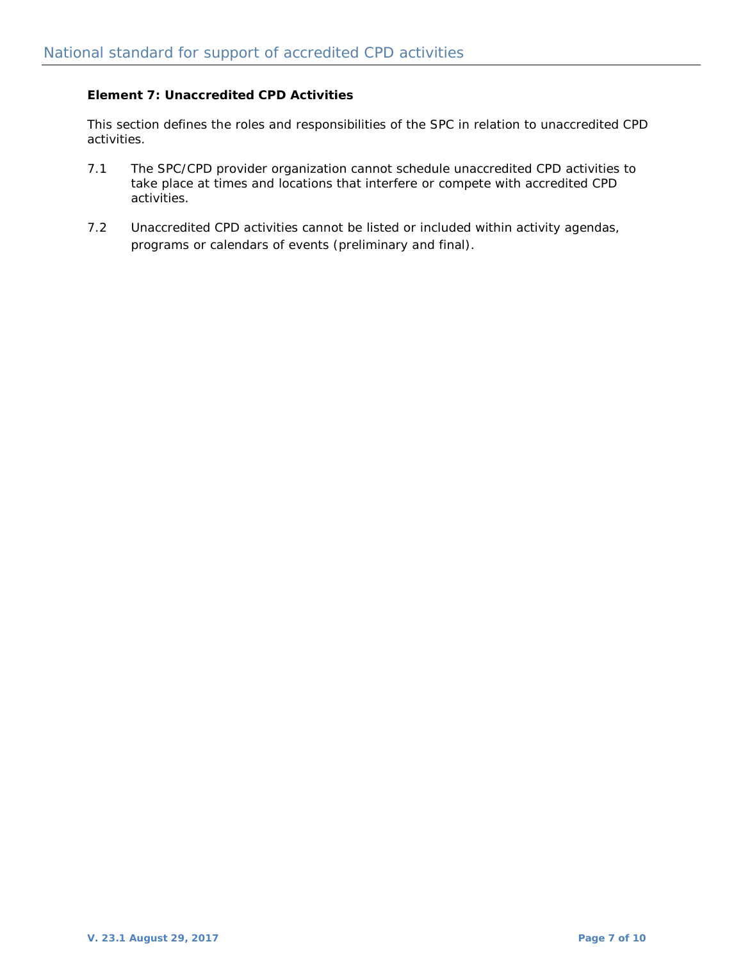# **Element 7: Unaccredited CPD Activities**

This section defines the roles and responsibilities of the SPC in relation to unaccredited CPD activities.

- 7.1 The SPC/CPD provider organization cannot schedule unaccredited CPD activities to take place at times and locations that interfere or compete with accredited CPD activities.
- 7.2 Unaccredited CPD activities cannot be listed or included within activity agendas, programs or calendars of events (preliminary and final).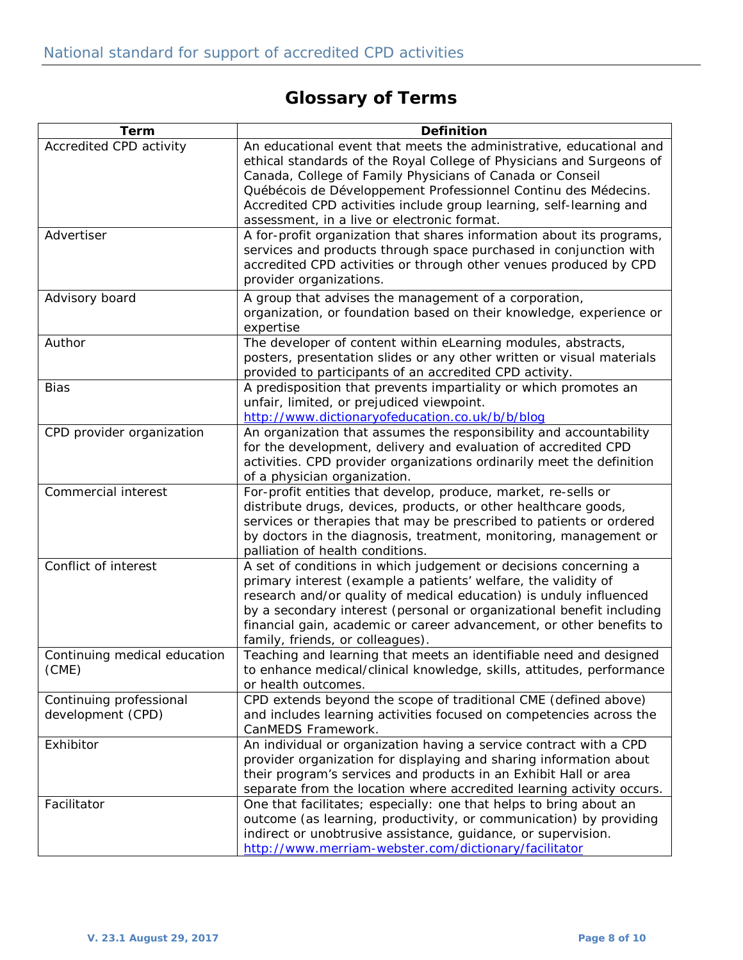# **Glossary of Terms**

| <b>Term</b>                                  | <b>Definition</b>                                                                                                                                                                                                                                                                                                                                                                                |
|----------------------------------------------|--------------------------------------------------------------------------------------------------------------------------------------------------------------------------------------------------------------------------------------------------------------------------------------------------------------------------------------------------------------------------------------------------|
| Accredited CPD activity                      | An educational event that meets the administrative, educational and<br>ethical standards of the Royal College of Physicians and Surgeons of<br>Canada, College of Family Physicians of Canada or Conseil<br>Québécois de Développement Professionnel Continu des Médecins.<br>Accredited CPD activities include group learning, self-learning and<br>assessment, in a live or electronic format. |
| Advertiser                                   | A for-profit organization that shares information about its programs,<br>services and products through space purchased in conjunction with<br>accredited CPD activities or through other venues produced by CPD<br>provider organizations.                                                                                                                                                       |
| Advisory board                               | A group that advises the management of a corporation,<br>organization, or foundation based on their knowledge, experience or<br>expertise                                                                                                                                                                                                                                                        |
| Author                                       | The developer of content within eLearning modules, abstracts,<br>posters, presentation slides or any other written or visual materials<br>provided to participants of an accredited CPD activity.                                                                                                                                                                                                |
| <b>Bias</b>                                  | A predisposition that prevents impartiality or which promotes an<br>unfair, limited, or prejudiced viewpoint.<br>http://www.dictionaryofeducation.co.uk/b/b/blog                                                                                                                                                                                                                                 |
| CPD provider organization                    | An organization that assumes the responsibility and accountability<br>for the development, delivery and evaluation of accredited CPD<br>activities. CPD provider organizations ordinarily meet the definition<br>of a physician organization.                                                                                                                                                    |
| Commercial interest                          | For-profit entities that develop, produce, market, re-sells or<br>distribute drugs, devices, products, or other healthcare goods,<br>services or therapies that may be prescribed to patients or ordered<br>by doctors in the diagnosis, treatment, monitoring, management or<br>palliation of health conditions.                                                                                |
| Conflict of interest                         | A set of conditions in which judgement or decisions concerning a<br>primary interest (example a patients' welfare, the validity of<br>research and/or quality of medical education) is unduly influenced<br>by a secondary interest (personal or organizational benefit including<br>financial gain, academic or career advancement, or other benefits to<br>family, friends, or colleagues).    |
| Continuing medical education<br>(CME)        | Teaching and learning that meets an identifiable need and designed<br>to enhance medical/clinical knowledge, skills, attitudes, performance<br>or health outcomes.                                                                                                                                                                                                                               |
| Continuing professional<br>development (CPD) | CPD extends beyond the scope of traditional CME (defined above)<br>and includes learning activities focused on competencies across the<br>CanMEDS Framework.                                                                                                                                                                                                                                     |
| Exhibitor                                    | An individual or organization having a service contract with a CPD<br>provider organization for displaying and sharing information about<br>their program's services and products in an Exhibit Hall or area<br>separate from the location where accredited learning activity occurs.                                                                                                            |
| Facilitator                                  | One that facilitates; especially: one that helps to bring about an<br>outcome (as learning, productivity, or communication) by providing<br>indirect or unobtrusive assistance, guidance, or supervision.<br>http://www.merriam-webster.com/dictionary/facilitator                                                                                                                               |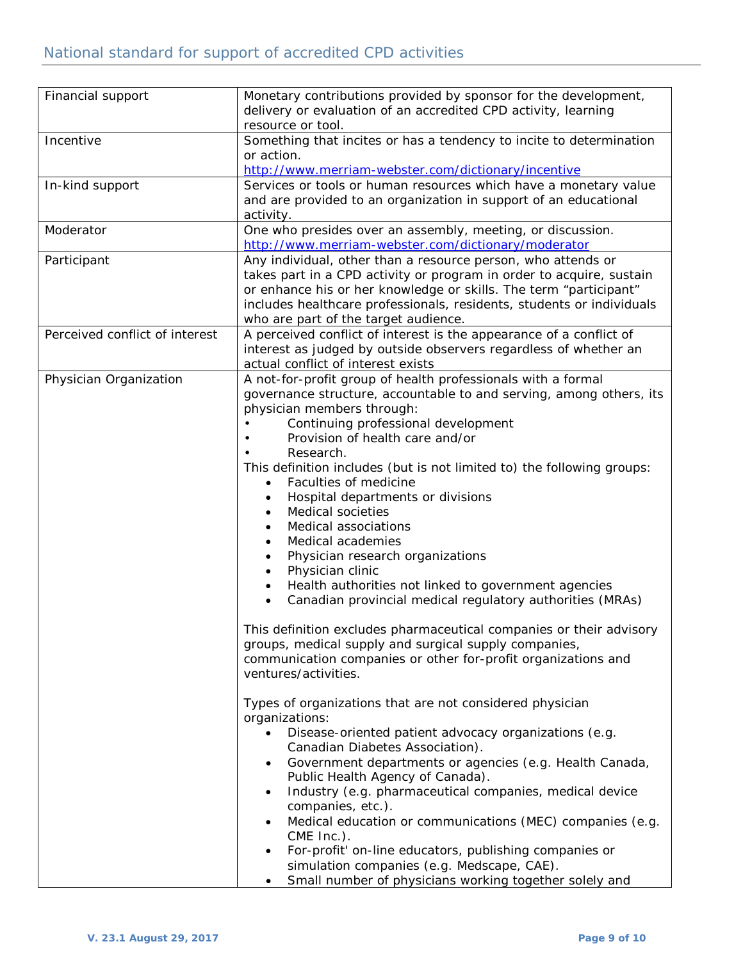| Financial support              | Monetary contributions provided by sponsor for the development,<br>delivery or evaluation of an accredited CPD activity, learning<br>resource or tool.                                                                                                                                                                                                                                                                                                                                                                                                                                                                                                                                                                                                                                                                                                                                                                                                                                                                                                                                                                                                                                                                                                                                                                                                                                                                                                                                                                     |
|--------------------------------|----------------------------------------------------------------------------------------------------------------------------------------------------------------------------------------------------------------------------------------------------------------------------------------------------------------------------------------------------------------------------------------------------------------------------------------------------------------------------------------------------------------------------------------------------------------------------------------------------------------------------------------------------------------------------------------------------------------------------------------------------------------------------------------------------------------------------------------------------------------------------------------------------------------------------------------------------------------------------------------------------------------------------------------------------------------------------------------------------------------------------------------------------------------------------------------------------------------------------------------------------------------------------------------------------------------------------------------------------------------------------------------------------------------------------------------------------------------------------------------------------------------------------|
| Incentive                      | Something that incites or has a tendency to incite to determination<br>or action.<br>http://www.merriam-webster.com/dictionary/incentive                                                                                                                                                                                                                                                                                                                                                                                                                                                                                                                                                                                                                                                                                                                                                                                                                                                                                                                                                                                                                                                                                                                                                                                                                                                                                                                                                                                   |
| In-kind support                | Services or tools or human resources which have a monetary value<br>and are provided to an organization in support of an educational<br>activity.                                                                                                                                                                                                                                                                                                                                                                                                                                                                                                                                                                                                                                                                                                                                                                                                                                                                                                                                                                                                                                                                                                                                                                                                                                                                                                                                                                          |
| Moderator                      | One who presides over an assembly, meeting, or discussion.<br>http://www.merriam-webster.com/dictionary/moderator                                                                                                                                                                                                                                                                                                                                                                                                                                                                                                                                                                                                                                                                                                                                                                                                                                                                                                                                                                                                                                                                                                                                                                                                                                                                                                                                                                                                          |
| Participant                    | Any individual, other than a resource person, who attends or<br>takes part in a CPD activity or program in order to acquire, sustain<br>or enhance his or her knowledge or skills. The term "participant"<br>includes healthcare professionals, residents, students or individuals<br>who are part of the target audience.                                                                                                                                                                                                                                                                                                                                                                                                                                                                                                                                                                                                                                                                                                                                                                                                                                                                                                                                                                                                                                                                                                                                                                                                 |
| Perceived conflict of interest | A perceived conflict of interest is the appearance of a conflict of<br>interest as judged by outside observers regardless of whether an<br>actual conflict of interest exists                                                                                                                                                                                                                                                                                                                                                                                                                                                                                                                                                                                                                                                                                                                                                                                                                                                                                                                                                                                                                                                                                                                                                                                                                                                                                                                                              |
| Physician Organization         | A not-for-profit group of health professionals with a formal<br>governance structure, accountable to and serving, among others, its<br>physician members through:<br>Continuing professional development<br>Provision of health care and/or<br>Research.<br>This definition includes (but is not limited to) the following groups:<br>Faculties of medicine<br>$\bullet$<br>Hospital departments or divisions<br>٠<br>Medical societies<br>$\bullet$<br>Medical associations<br>$\bullet$<br>Medical academies<br>$\bullet$<br>Physician research organizations<br>$\bullet$<br>Physician clinic<br>$\bullet$<br>Health authorities not linked to government agencies<br>$\bullet$<br>Canadian provincial medical regulatory authorities (MRAs)<br>This definition excludes pharmaceutical companies or their advisory<br>groups, medical supply and surgical supply companies,<br>communication companies or other for-profit organizations and<br>ventures/activities.<br>Types of organizations that are not considered physician<br>organizations:<br>Disease-oriented patient advocacy organizations (e.g.<br>$\bullet$<br>Canadian Diabetes Association).<br>Government departments or agencies (e.g. Health Canada,<br>$\bullet$<br>Public Health Agency of Canada).<br>Industry (e.g. pharmaceutical companies, medical device<br>$\bullet$<br>companies, etc.).<br>Medical education or communications (MEC) companies (e.g.<br>$\bullet$<br>CME Inc.).<br>For-profit' on-line educators, publishing companies or |
|                                | simulation companies (e.g. Medscape, CAE).<br>Small number of physicians working together solely and                                                                                                                                                                                                                                                                                                                                                                                                                                                                                                                                                                                                                                                                                                                                                                                                                                                                                                                                                                                                                                                                                                                                                                                                                                                                                                                                                                                                                       |